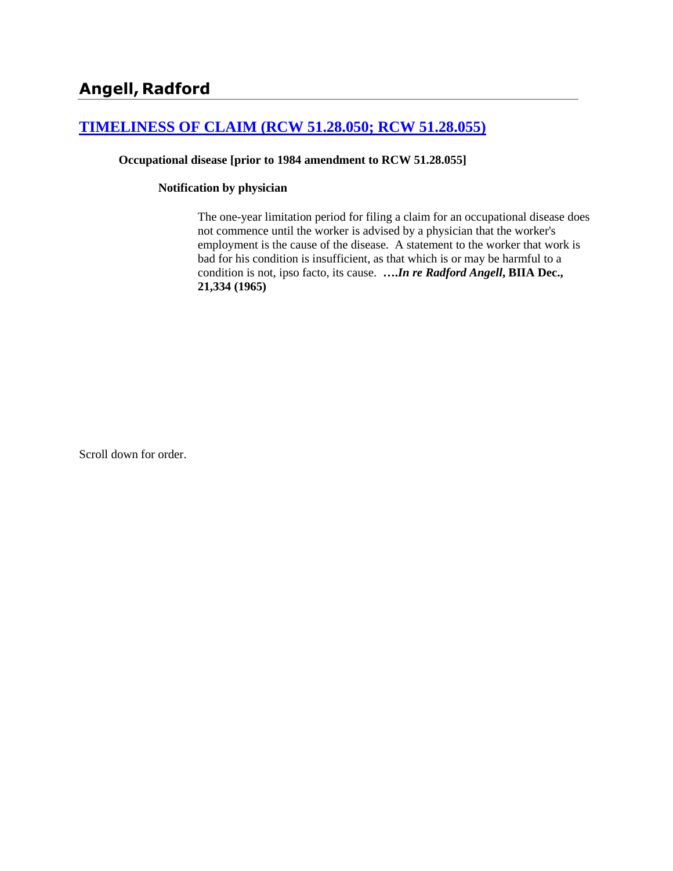# **[TIMELINESS OF CLAIM \(RCW 51.28.050; RCW 51.28.055\)](http://www.biia.wa.gov/SDSubjectIndex.html#TIMELINESS_OF_CLAIM)**

### **Occupational disease [prior to 1984 amendment to RCW 51.28.055]**

### **Notification by physician**

The one-year limitation period for filing a claim for an occupational disease does not commence until the worker is advised by a physician that the worker's employment is the cause of the disease. A statement to the worker that work is bad for his condition is insufficient, as that which is or may be harmful to a condition is not, ipso facto, its cause. **….***In re Radford Angell***, BIIA Dec., 21,334 (1965)**

Scroll down for order.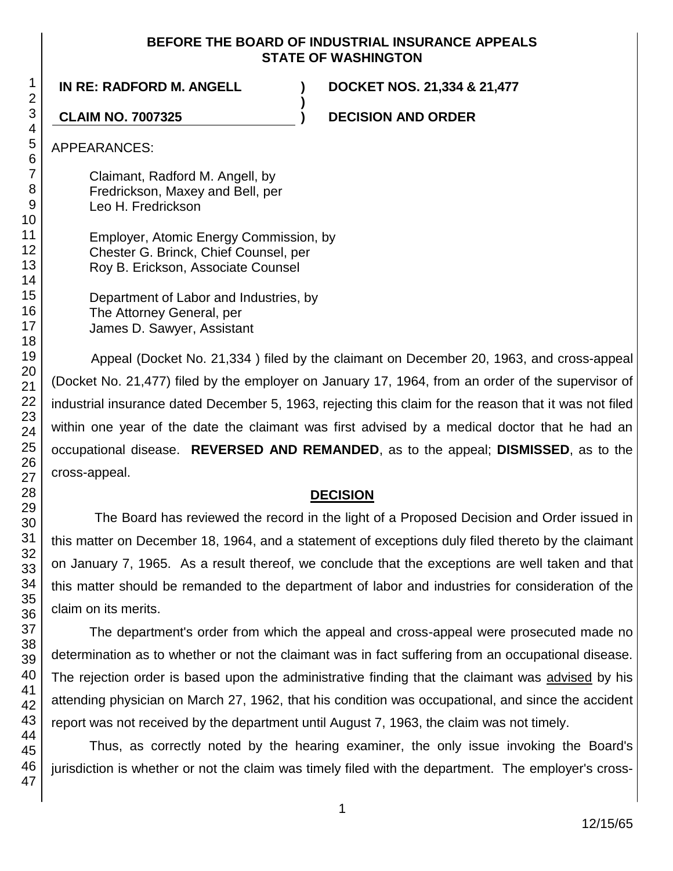### **BEFORE THE BOARD OF INDUSTRIAL INSURANCE APPEALS STATE OF WASHINGTON**

**)**

**IN RE: RADFORD M. ANGELL ) DOCKET NOS. 21,334 & 21,477**

**CLAIM NO. 7007325 ) DECISION AND ORDER**

APPEARANCES:

Claimant, Radford M. Angell, by Fredrickson, Maxey and Bell, per Leo H. Fredrickson

Employer, Atomic Energy Commission, by Chester G. Brinck, Chief Counsel, per Roy B. Erickson, Associate Counsel

Department of Labor and Industries, by The Attorney General, per James D. Sawyer, Assistant

Appeal (Docket No. 21,334 ) filed by the claimant on December 20, 1963, and cross-appeal (Docket No. 21,477) filed by the employer on January 17, 1964, from an order of the supervisor of industrial insurance dated December 5, 1963, rejecting this claim for the reason that it was not filed within one year of the date the claimant was first advised by a medical doctor that he had an occupational disease. **REVERSED AND REMANDED**, as to the appeal; **DISMISSED**, as to the cross-appeal.

## **DECISION**

The Board has reviewed the record in the light of a Proposed Decision and Order issued in this matter on December 18, 1964, and a statement of exceptions duly filed thereto by the claimant on January 7, 1965. As a result thereof, we conclude that the exceptions are well taken and that this matter should be remanded to the department of labor and industries for consideration of the claim on its merits.

The department's order from which the appeal and cross-appeal were prosecuted made no determination as to whether or not the claimant was in fact suffering from an occupational disease. The rejection order is based upon the administrative finding that the claimant was advised by his attending physician on March 27, 1962, that his condition was occupational, and since the accident report was not received by the department until August 7, 1963, the claim was not timely.

Thus, as correctly noted by the hearing examiner, the only issue invoking the Board's jurisdiction is whether or not the claim was timely filed with the department. The employer's cross-

1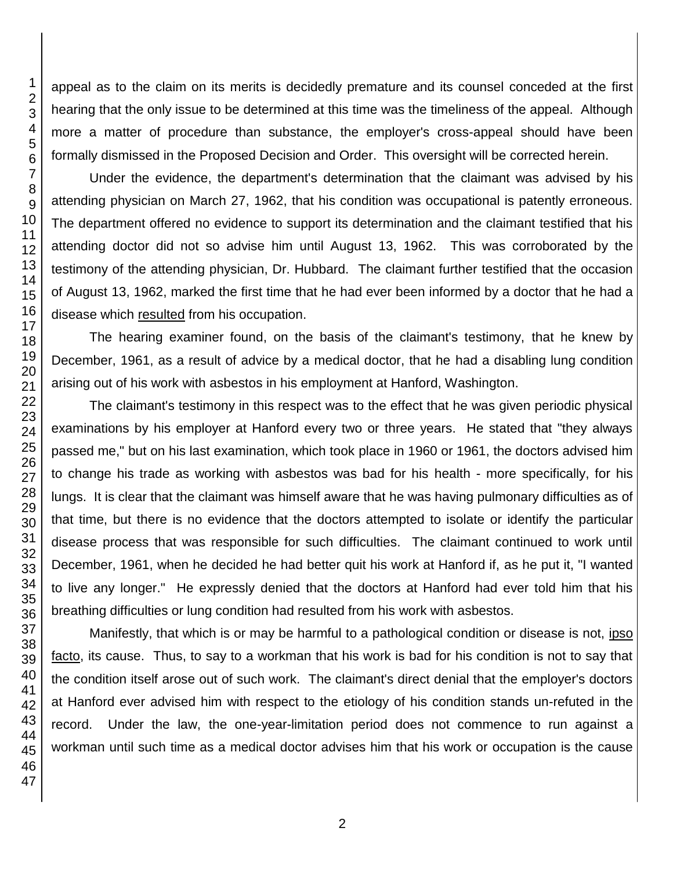appeal as to the claim on its merits is decidedly premature and its counsel conceded at the first hearing that the only issue to be determined at this time was the timeliness of the appeal. Although more a matter of procedure than substance, the employer's cross-appeal should have been formally dismissed in the Proposed Decision and Order. This oversight will be corrected herein.

Under the evidence, the department's determination that the claimant was advised by his attending physician on March 27, 1962, that his condition was occupational is patently erroneous. The department offered no evidence to support its determination and the claimant testified that his attending doctor did not so advise him until August 13, 1962. This was corroborated by the testimony of the attending physician, Dr. Hubbard. The claimant further testified that the occasion of August 13, 1962, marked the first time that he had ever been informed by a doctor that he had a disease which resulted from his occupation.

The hearing examiner found, on the basis of the claimant's testimony, that he knew by December, 1961, as a result of advice by a medical doctor, that he had a disabling lung condition arising out of his work with asbestos in his employment at Hanford, Washington.

The claimant's testimony in this respect was to the effect that he was given periodic physical examinations by his employer at Hanford every two or three years. He stated that "they always passed me," but on his last examination, which took place in 1960 or 1961, the doctors advised him to change his trade as working with asbestos was bad for his health - more specifically, for his lungs. It is clear that the claimant was himself aware that he was having pulmonary difficulties as of that time, but there is no evidence that the doctors attempted to isolate or identify the particular disease process that was responsible for such difficulties. The claimant continued to work until December, 1961, when he decided he had better quit his work at Hanford if, as he put it, "I wanted to live any longer." He expressly denied that the doctors at Hanford had ever told him that his breathing difficulties or lung condition had resulted from his work with asbestos.

Manifestly, that which is or may be harmful to a pathological condition or disease is not, ipso facto, its cause. Thus, to say to a workman that his work is bad for his condition is not to say that the condition itself arose out of such work. The claimant's direct denial that the employer's doctors at Hanford ever advised him with respect to the etiology of his condition stands un-refuted in the record. Under the law, the one-year-limitation period does not commence to run against a workman until such time as a medical doctor advises him that his work or occupation is the cause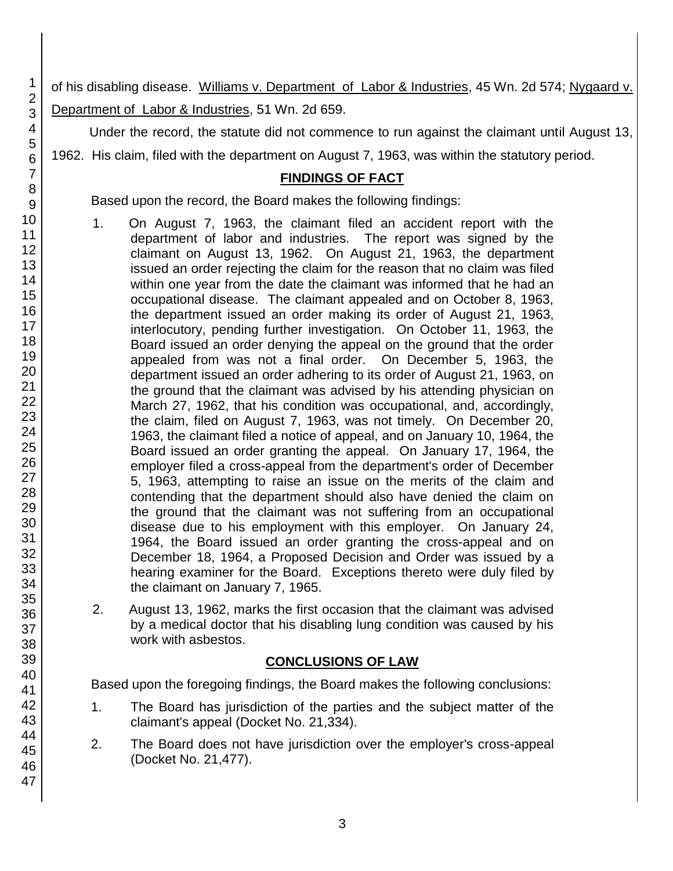of his disabling disease. Williams v. Department of Labor & Industries, 45 Wn. 2d 574; Nygaard v. Department of Labor & Industries, 51 Wn. 2d 659.

Under the record, the statute did not commence to run against the claimant until August 13,

1962. His claim, filed with the department on August 7, 1963, was within the statutory period.

## **FINDINGS OF FACT**

Based upon the record, the Board makes the following findings:

- 1. On August 7, 1963, the claimant filed an accident report with the department of labor and industries. The report was signed by the claimant on August 13, 1962. On August 21, 1963, the department issued an order rejecting the claim for the reason that no claim was filed within one year from the date the claimant was informed that he had an occupational disease. The claimant appealed and on October 8, 1963, the department issued an order making its order of August 21, 1963, interlocutory, pending further investigation. On October 11, 1963, the Board issued an order denying the appeal on the ground that the order appealed from was not a final order. On December 5, 1963, the department issued an order adhering to its order of August 21, 1963, on the ground that the claimant was advised by his attending physician on March 27, 1962, that his condition was occupational, and, accordingly, the claim, filed on August 7, 1963, was not timely. On December 20, 1963, the claimant filed a notice of appeal, and on January 10, 1964, the Board issued an order granting the appeal. On January 17, 1964, the employer filed a cross-appeal from the department's order of December 5, 1963, attempting to raise an issue on the merits of the claim and contending that the department should also have denied the claim on the ground that the claimant was not suffering from an occupational disease due to his employment with this employer. On January 24, 1964, the Board issued an order granting the cross-appeal and on December 18, 1964, a Proposed Decision and Order was issued by a hearing examiner for the Board. Exceptions thereto were duly filed by the claimant on January 7, 1965.
- 2. August 13, 1962, marks the first occasion that the claimant was advised by a medical doctor that his disabling lung condition was caused by his work with asbestos.

# **CONCLUSIONS OF LAW**

Based upon the foregoing findings, the Board makes the following conclusions:

- 1. The Board has jurisdiction of the parties and the subject matter of the claimant's appeal (Docket No. 21,334).
- 2. The Board does not have jurisdiction over the employer's cross-appeal (Docket No. 21,477).

1